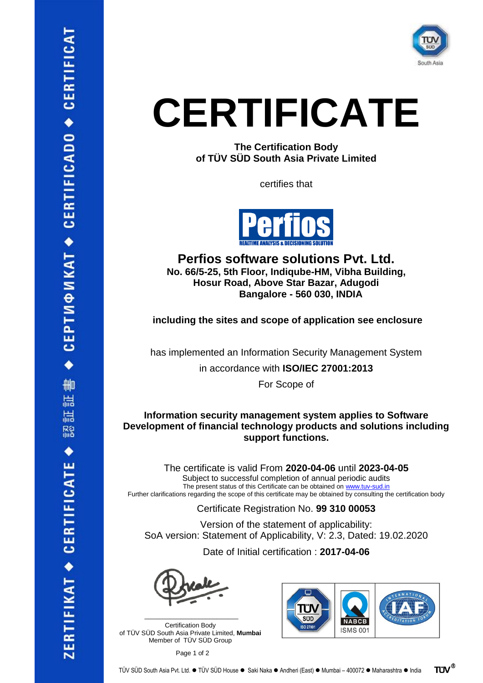

**The Certification Body of TÜV SÜD South Asia Private Limited**

certifies that



**Perfios software solutions Pvt. Ltd. No. 66/5-25, 5th Floor, Indiqube-HM, Vibha Building, Hosur Road, Above Star Bazar, Adugodi Bangalore - 560 030, INDIA**

**including the sites and scope of application see enclosure**

has implemented an Information Security Management System

in accordance with **ISO/IEC 27001:2013**

For Scope of

### **Information security management system applies to Software Development of financial technology products and solutions including support functions.**

The certificate is valid From **2020-04-06** until **2023-04-05** Subject to successful completion of annual periodic audits The present status of this Certificate can be obtained on [www.tuv-sud.in](http://www.tuv-sud.in/) Further clarifications regarding the scope of this certificate may be obtained by consulting the certification body

Certificate Registration No. **99 310 00053**

Version of the statement of applicability: SoA version: Statement of Applicability, V: 2.3, Dated: 19.02.2020

Date of Initial certification : **2017-04-06**



Certification Body of TÜV SÜD South Asia Private Limited, **Mumbai** Member of TÜV SÜD Group

\_\_\_\_\_\_\_\_\_\_\_\_\_\_\_\_\_\_\_\_\_\_\_\_\_\_

Page 1 of 2



**TUV®** TÜV SÜD South Asia Pvt. Ltd. ⚫ TÜV SÜD House ⚫ Saki Naka ⚫ Andheri (East) ⚫ Mumbai – 400072 ⚫ Maharashtra ⚫ India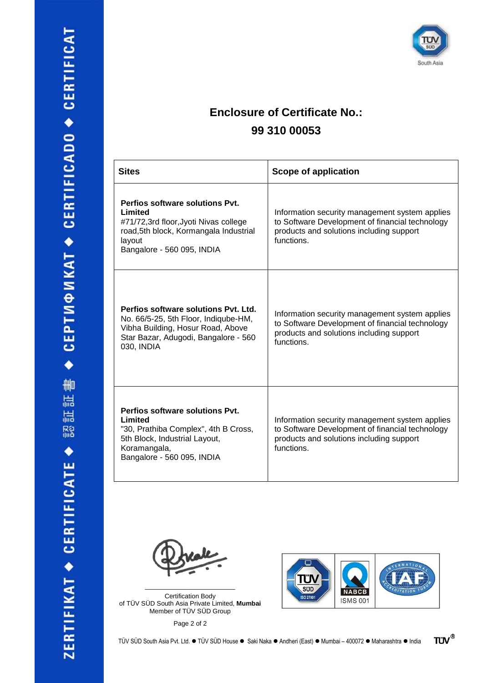

### **Enclosure of Certificate No.: 99 310 00053**

| <b>Sites</b>                                                                                                                                                            | <b>Scope of application</b>                                                                                                                                 |
|-------------------------------------------------------------------------------------------------------------------------------------------------------------------------|-------------------------------------------------------------------------------------------------------------------------------------------------------------|
| Perfios software solutions Pvt.<br>Limited<br>#71/72,3rd floor, Jyoti Nivas college<br>road,5th block, Kormangala Industrial<br>layout<br>Bangalore - 560 095, INDIA    | Information security management system applies<br>to Software Development of financial technology<br>products and solutions including support<br>functions. |
| Perfios software solutions Pvt. Ltd.<br>No. 66/5-25, 5th Floor, Indiqube-HM,<br>Vibha Building, Hosur Road, Above<br>Star Bazar, Adugodi, Bangalore - 560<br>030, INDIA | Information security management system applies<br>to Software Development of financial technology<br>products and solutions including support<br>functions  |
| Perfios software solutions Pvt.<br>Limited<br>"30, Prathiba Complex", 4th B Cross,<br>5th Block, Industrial Layout,<br>Koramangala,<br>Bangalore - 560 095, INDIA       | Information security management system applies<br>to Software Development of financial technology<br>products and solutions including support<br>functions. |

Certification Body of TÜV SÜD South Asia Private Limited, **Mumbai** Member of TÜV SÜD Group

\_\_\_\_\_\_\_\_\_\_\_\_\_\_\_\_\_\_\_\_\_\_\_\_\_

Page 2 of 2



**TUV®** TÜV SÜD South Asia Pvt. Ltd. ⚫ TÜV SÜD House ⚫ Saki Naka ⚫ Andheri (East) ⚫ Mumbai – 400072 ⚫ Maharashtra ⚫ India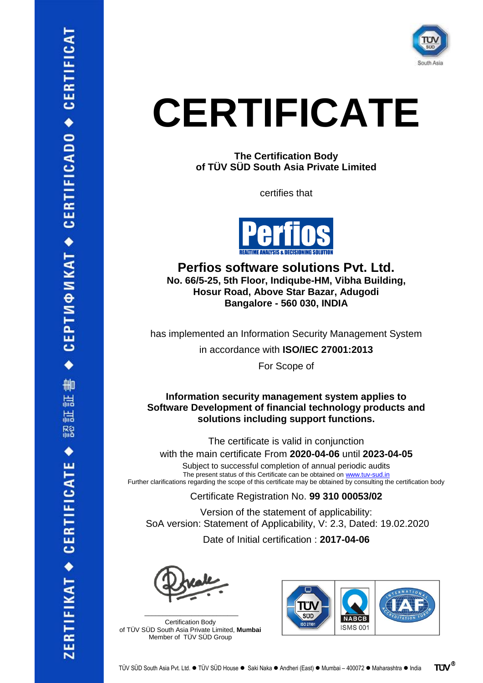

**The Certification Body of TÜV SÜD South Asia Private Limited**

certifies that



**Perfios software solutions Pvt. Ltd. No. 66/5-25, 5th Floor, Indiqube-HM, Vibha Building, Hosur Road, Above Star Bazar, Adugodi Bangalore - 560 030, INDIA**

has implemented an Information Security Management System

in accordance with **ISO/IEC 27001:2013**

For Scope of

#### **Information security management system applies to Software Development of financial technology products and solutions including support functions.**

The certificate is valid in conjunction

with the main certificate From **2020-04-06** until **2023-04-05**

Subject to successful completion of annual periodic audits The present status of this Certificate can be obtained on [www.tuv-sud.in](http://www.tuv-sud.in/) Further clarifications regarding the scope of this certificate may be obtained by consulting the certification body

Certificate Registration No. **99 310 00053/02**

Version of the statement of applicability: SoA version: Statement of Applicability, V: 2.3, Dated: 19.02.2020

Date of Initial certification : **2017-04-06**

\_\_\_\_\_\_\_\_\_\_\_\_\_\_\_\_\_\_\_\_\_\_\_\_\_\_ Certification Body of TÜV SÜD South Asia Private Limited, **Mumbai** Member of TÜV SÜD Group

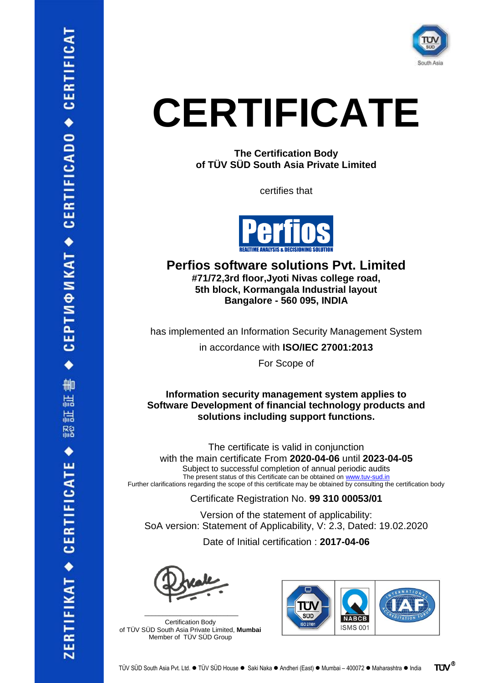

**The Certification Body of TÜV SÜD South Asia Private Limited**

certifies that



### **Perfios software solutions Pvt. Limited #71/72,3rd floor,Jyoti Nivas college road, 5th block, Kormangala Industrial layout Bangalore - 560 095, INDIA**

has implemented an Information Security Management System

in accordance with **ISO/IEC 27001:2013**

For Scope of

#### **Information security management system applies to Software Development of financial technology products and solutions including support functions.**

The certificate is valid in conjunction with the main certificate From **2020-04-06** until **2023-04-05** Subject to successful completion of annual periodic audits The present status of this Certificate can be obtained on [www.tuv-sud.in](http://www.tuv-sud.in/) Further clarifications regarding the scope of this certificate may be obtained by consulting the certification body

Certificate Registration No. **99 310 00053/01**

Version of the statement of applicability: SoA version: Statement of Applicability, V: 2.3, Dated: 19.02.2020

Date of Initial certification : **2017-04-06**

\_\_\_\_\_\_\_\_\_\_\_\_\_\_\_\_\_\_\_\_\_\_\_\_\_\_ Certification Body of TÜV SÜD South Asia Private Limited, **Mumbai** Member of TÜV SÜD Group